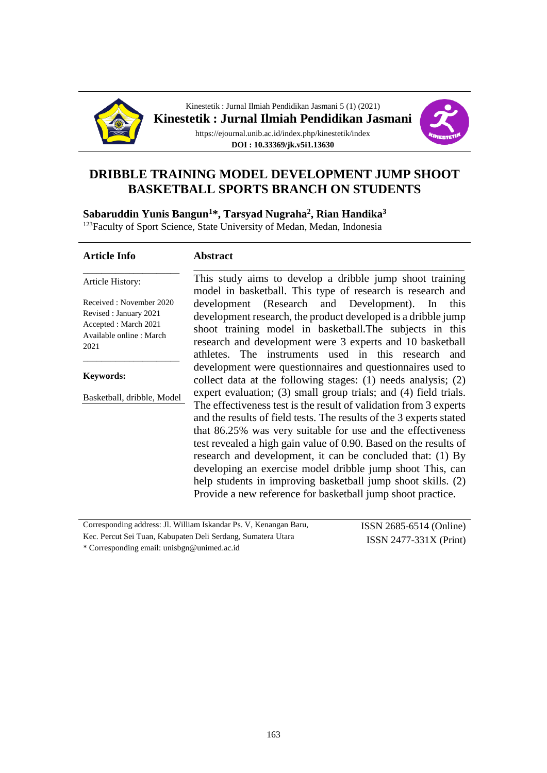



# **DRIBBLE TRAINING MODEL DEVELOPMENT JUMP SHOOT BASKETBALL SPORTS BRANCH ON STUDENTS**

**Sabaruddin Yunis Bangun<sup>1</sup>\*, Tarsyad Nugraha<sup>2</sup> , Rian Handika<sup>3</sup>**

<sup>123</sup>Faculty of Sport Science, State University of Medan, Medan, Indonesia

#### **Article Info**

#### **Abstract**

Article History:

Received : November 2020 Revised : January 2021 Accepted : March 2021 Available online : March 2021

\_\_\_\_\_\_\_\_\_\_\_\_\_\_\_\_\_\_\_\_\_

**Keywords:**

Basketball, dribble, Model

\_\_\_\_\_\_\_\_\_\_\_\_\_\_\_\_\_\_\_\_\_

This study aims to develop a dribble jump shoot training model in basketball. This type of research is research and development (Research and Development). In this development research, the product developed is a dribble jump shoot training model in basketball.The subjects in this research and development were 3 experts and 10 basketball athletes. The instruments used in this research and development were questionnaires and questionnaires used to collect data at the following stages: (1) needs analysis; (2) expert evaluation; (3) small group trials; and (4) field trials. The effectiveness test is the result of validation from 3 experts and the results of field tests. The results of the 3 experts stated that 86.25% was very suitable for use and the effectiveness test revealed a high gain value of 0.90. Based on the results of research and development, it can be concluded that: (1) By developing an exercise model dribble jump shoot This, can help students in improving basketball jump shoot skills. (2) Provide a new reference for basketball jump shoot practice.

\_\_\_\_\_\_\_\_\_\_\_\_\_\_\_\_\_\_\_\_\_\_\_\_\_\_\_\_\_\_\_\_\_\_\_\_\_\_\_\_\_\_\_\_\_\_\_\_\_\_\_\_\_\_\_\_\_\_\_

| Corresponding address: J. William Iskandar Ps. V. Kenangan Baru, | ISSN 2685-6514 (Online)  |  |
|------------------------------------------------------------------|--------------------------|--|
| Kec. Percut Sei Tuan, Kabupaten Deli Serdang, Sumatera Utara     | $ISSN 2477-331X (Print)$ |  |
| Corresponding email: unisbgn@unimed.ac.id *                      |                          |  |

\* Corresponding email: unisbgn@unimed.ac.id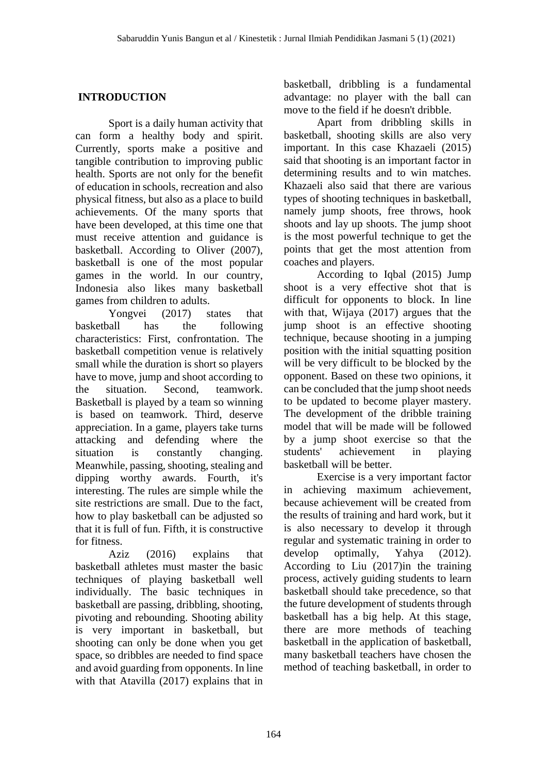# **INTRODUCTION**

Sport is a daily human activity that can form a healthy body and spirit. Currently, sports make a positive and tangible contribution to improving public health. Sports are not only for the benefit of education in schools, recreation and also physical fitness, but also as a place to build achievements. Of the many sports that have been developed, at this time one that must receive attention and guidance is basketball. According to Oliver (2007), basketball is one of the most popular games in the world. In our country, Indonesia also likes many basketball games from children to adults.

Yongvei (2017) states that basketball has the following characteristics: First, confrontation. The basketball competition venue is relatively small while the duration is short so players have to move, jump and shoot according to the situation. Second, teamwork. Basketball is played by a team so winning is based on teamwork. Third, deserve appreciation. In a game, players take turns attacking and defending where the situation is constantly changing. Meanwhile, passing, shooting, stealing and dipping worthy awards. Fourth, it's interesting. The rules are simple while the site restrictions are small. Due to the fact, how to play basketball can be adjusted so that it is full of fun. Fifth, it is constructive for fitness.

Aziz (2016) explains that basketball athletes must master the basic techniques of playing basketball well individually. The basic techniques in basketball are passing, dribbling, shooting, pivoting and rebounding. Shooting ability is very important in basketball, but shooting can only be done when you get space, so dribbles are needed to find space and avoid guarding from opponents. In line with that Atavilla (2017) explains that in basketball, dribbling is a fundamental advantage: no player with the ball can move to the field if he doesn't dribble.

Apart from dribbling skills in basketball, shooting skills are also very important. In this case Khazaeli (2015) said that shooting is an important factor in determining results and to win matches. Khazaeli also said that there are various types of shooting techniques in basketball, namely jump shoots, free throws, hook shoots and lay up shoots. The jump shoot is the most powerful technique to get the points that get the most attention from coaches and players.

According to Iqbal (2015) Jump shoot is a very effective shot that is difficult for opponents to block. In line with that, Wijaya (2017) argues that the jump shoot is an effective shooting technique, because shooting in a jumping position with the initial squatting position will be very difficult to be blocked by the opponent. Based on these two opinions, it can be concluded that the jump shoot needs to be updated to become player mastery. The development of the dribble training model that will be made will be followed by a jump shoot exercise so that the students' achievement in playing basketball will be better.

Exercise is a very important factor in achieving maximum achievement, because achievement will be created from the results of training and hard work, but it is also necessary to develop it through regular and systematic training in order to develop optimally, Yahya (2012). According to Liu (2017)in the training process, actively guiding students to learn basketball should take precedence, so that the future development of students through basketball has a big help. At this stage, there are more methods of teaching basketball in the application of basketball, many basketball teachers have chosen the method of teaching basketball, in order to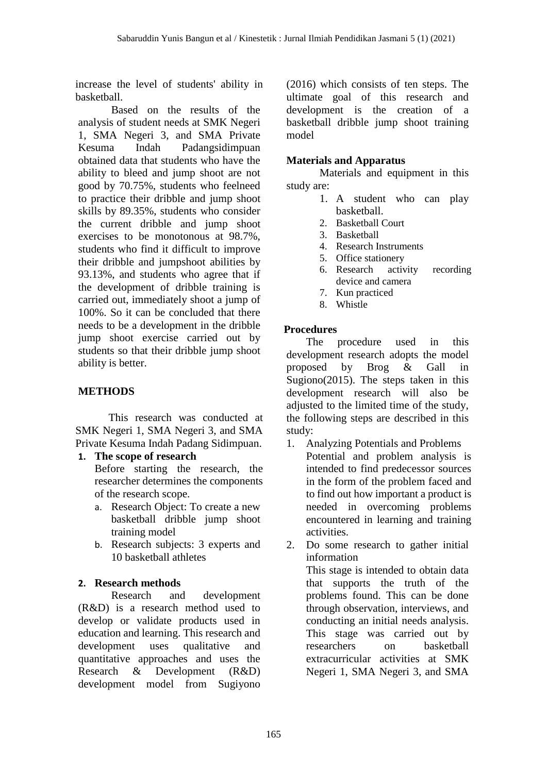increase the level of students' ability in basketball.

Based on the results of the analysis of student needs at SMK Negeri 1, SMA Negeri 3, and SMA Private Kesuma Indah Padangsidimpuan obtained data that students who have the ability to bleed and jump shoot are not good by 70.75%, students who feelneed to practice their dribble and jump shoot skills by 89.35%, students who consider the current dribble and jump shoot exercises to be monotonous at 98.7%, students who find it difficult to improve their dribble and jumpshoot abilities by 93.13%, and students who agree that if the development of dribble training is carried out, immediately shoot a jump of 100%. So it can be concluded that there needs to be a development in the dribble jump shoot exercise carried out by students so that their dribble jump shoot ability is better.

# **METHODS**

This research was conducted at SMK Negeri 1, SMA Negeri 3, and SMA Private Kesuma Indah Padang Sidimpuan.

**1. The scope of research**

Before starting the research, the researcher determines the components of the research scope.

- a. Research Object: To create a new basketball dribble jump shoot training model
- b. Research subjects: 3 experts and 10 basketball athletes

# **2. Research methods**

Research and development (R&D) is a research method used to develop or validate products used in education and learning. This research and development uses qualitative and quantitative approaches and uses the Research & Development (R&D) development model from Sugiyono

(2016) which consists of ten steps. The ultimate goal of this research and development is the creation of a basketball dribble jump shoot training model

## **Materials and Apparatus**

Materials and equipment in this study are:

- 1. A student who can play basketball.
- 2. Basketball Court
- 3. Basketball
- 4. Research Instruments
- 5. Office stationery
- 6. Research activity recording device and camera
- 7. Kun practiced
- 8. Whistle

## **Procedures**

The procedure used in this development research adopts the model proposed by Brog & Gall in Sugiono(2015). The steps taken in this development research will also be adjusted to the limited time of the study, the following steps are described in this study:

- 1. Analyzing Potentials and Problems Potential and problem analysis is intended to find predecessor sources in the form of the problem faced and to find out how important a product is needed in overcoming problems encountered in learning and training activities.
- 2. Do some research to gather initial information This stage is intended to obtain data that supports the truth of the problems found. This can be done through observation, interviews, and conducting an initial needs analysis. This stage was carried out by researchers on basketball extracurricular activities at SMK Negeri 1, SMA Negeri 3, and SMA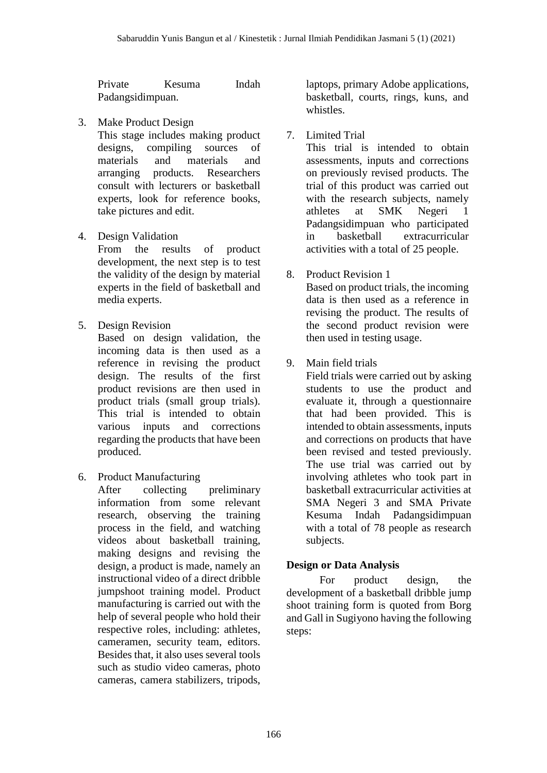Private Kesuma Indah Padangsidimpuan.

3. Make Product Design

This stage includes making product designs, compiling sources of materials and materials and arranging products. Researchers consult with lecturers or basketball experts, look for reference books, take pictures and edit.

4. Design Validation

From the results of product development, the next step is to test the validity of the design by material experts in the field of basketball and media experts.

5. Design Revision

Based on design validation, the incoming data is then used as a reference in revising the product design. The results of the first product revisions are then used in product trials (small group trials). This trial is intended to obtain various inputs and corrections regarding the products that have been produced.

6. Product Manufacturing

After collecting preliminary information from some relevant research, observing the training process in the field, and watching videos about basketball training, making designs and revising the design, a product is made, namely an instructional video of a direct dribble jumpshoot training model. Product manufacturing is carried out with the help of several people who hold their respective roles, including: athletes, cameramen, security team, editors. Besides that, it also uses several tools such as studio video cameras, photo cameras, camera stabilizers, tripods, laptops, primary Adobe applications, basketball, courts, rings, kuns, and whistles.

7. Limited Trial

This trial is intended to obtain assessments, inputs and corrections on previously revised products. The trial of this product was carried out with the research subjects, namely athletes at SMK Negeri 1 Padangsidimpuan who participated in basketball extracurricular activities with a total of 25 people.

- 8. Product Revision 1 Based on product trials, the incoming data is then used as a reference in revising the product. The results of the second product revision were then used in testing usage.
- 9. Main field trials

Field trials were carried out by asking students to use the product and evaluate it, through a questionnaire that had been provided. This is intended to obtain assessments, inputs and corrections on products that have been revised and tested previously. The use trial was carried out by involving athletes who took part in basketball extracurricular activities at SMA Negeri 3 and SMA Private Kesuma Indah Padangsidimpuan with a total of 78 people as research subjects.

# **Design or Data Analysis**

For product design, the development of a basketball dribble jump shoot training form is quoted from Borg and Gall in Sugiyono having the following steps: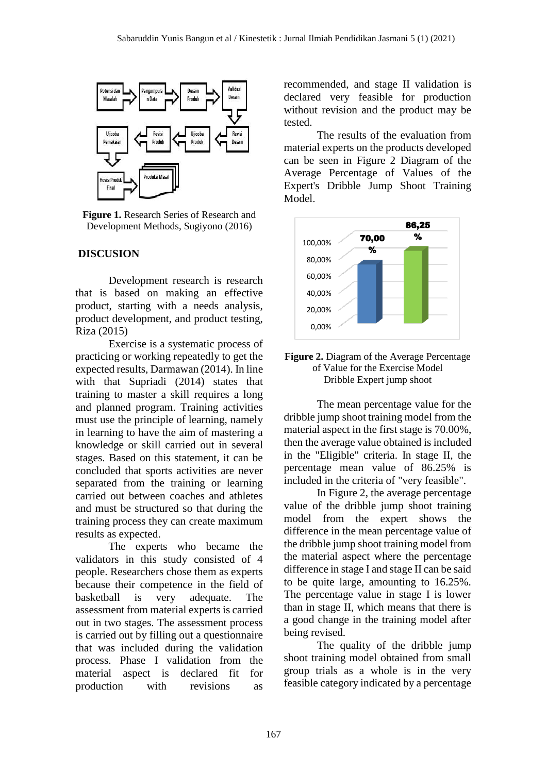

**Figure 1.** Research Series of Research and Development Methods, Sugiyono (2016)

### **DISCUSION**

Development research is research that is based on making an effective product, starting with a needs analysis, product development, and product testing, Riza (2015)

Exercise is a systematic process of practicing or working repeatedly to get the expected results, Darmawan (2014). In line with that Supriadi (2014) states that training to master a skill requires a long and planned program. Training activities must use the principle of learning, namely in learning to have the aim of mastering a knowledge or skill carried out in several stages. Based on this statement, it can be concluded that sports activities are never separated from the training or learning carried out between coaches and athletes and must be structured so that during the training process they can create maximum results as expected.

The experts who became the validators in this study consisted of 4 people. Researchers chose them as experts because their competence in the field of basketball is very adequate. The assessment from material experts is carried out in two stages. The assessment process is carried out by filling out a questionnaire that was included during the validation process. Phase I validation from the material aspect is declared fit for production with revisions as

recommended, and stage II validation is declared very feasible for production without revision and the product may be tested.

The results of the evaluation from material experts on the products developed can be seen in Figure 2 Diagram of the Average Percentage of Values of the Expert's Dribble Jump Shoot Training Model.



#### **Figure 2.** Diagram of the Average Percentage of Value for the Exercise Model Dribble Expert jump shoot

The mean percentage value for the dribble jump shoot training model from the material aspect in the first stage is 70.00%, then the average value obtained is included in the "Eligible" criteria. In stage II, the percentage mean value of 86.25% is included in the criteria of "very feasible".

In Figure 2, the average percentage value of the dribble jump shoot training model from the expert shows the difference in the mean percentage value of the dribble jump shoot training model from the material aspect where the percentage difference in stage I and stage II can be said to be quite large, amounting to 16.25%. The percentage value in stage I is lower than in stage II, which means that there is a good change in the training model after being revised.

The quality of the dribble jump shoot training model obtained from small group trials as a whole is in the very feasible category indicated by a percentage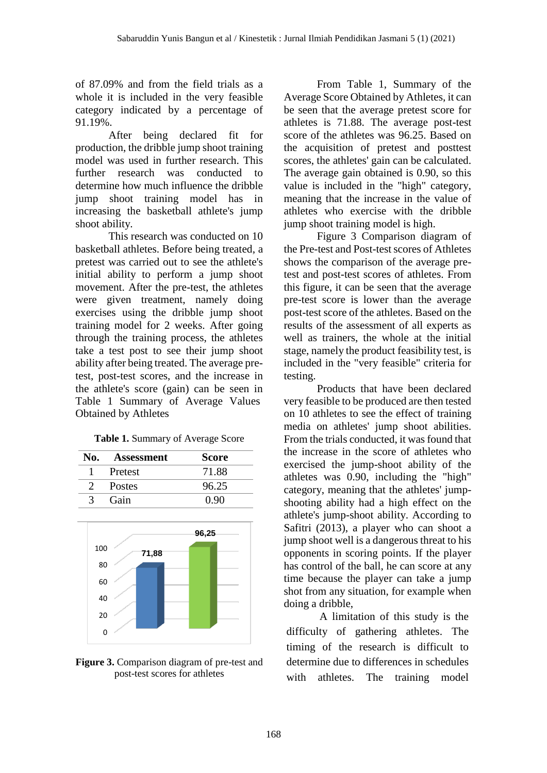of 87.09% and from the field trials as a whole it is included in the very feasible category indicated by a percentage of 91.19%.

After being declared fit for production, the dribble jump shoot training model was used in further research. This further research was conducted to determine how much influence the dribble jump shoot training model has in increasing the basketball athlete's jump shoot ability.

This research was conducted on 10 basketball athletes. Before being treated, a pretest was carried out to see the athlete's initial ability to perform a jump shoot movement. After the pre-test, the athletes were given treatment, namely doing exercises using the dribble jump shoot training model for 2 weeks. After going through the training process, the athletes take a test post to see their jump shoot ability after being treated. The average pretest, post-test scores, and the increase in the athlete's score (gain) can be seen in Table 1 Summary of Average Values Obtained by Athletes

|  |  | Table 1. Summary of Average Score |  |
|--|--|-----------------------------------|--|
|--|--|-----------------------------------|--|

| No.           | <b>Assessment</b> | <b>Score</b> |
|---------------|-------------------|--------------|
|               | Pretest           | 71.88        |
| $\mathcal{L}$ | <b>Postes</b>     | 96.25        |
|               | Gain              | 0.90         |



**Figure 3.** Comparison diagram of pre-test and post-test scores for athletes

From Table 1, Summary of the Average Score Obtained by Athletes, it can be seen that the average pretest score for athletes is 71.88. The average post-test score of the athletes was 96.25. Based on the acquisition of pretest and posttest scores, the athletes' gain can be calculated. The average gain obtained is 0.90, so this value is included in the "high" category, meaning that the increase in the value of athletes who exercise with the dribble jump shoot training model is high.

Figure 3 Comparison diagram of the Pre-test and Post-test scores of Athletes shows the comparison of the average pretest and post-test scores of athletes. From this figure, it can be seen that the average pre-test score is lower than the average post-test score of the athletes. Based on the results of the assessment of all experts as well as trainers, the whole at the initial stage, namely the product feasibility test, is included in the "very feasible" criteria for testing.

Products that have been declared very feasible to be produced are then tested on 10 athletes to see the effect of training media on athletes' jump shoot abilities. From the trials conducted, it was found that the increase in the score of athletes who exercised the jump-shoot ability of the athletes was 0.90, including the "high" category, meaning that the athletes' jumpshooting ability had a high effect on the athlete's jump-shoot ability. According to Safitri (2013), a player who can shoot a jump shoot well is a dangerous threat to his opponents in scoring points. If the player has control of the ball, he can score at any time because the player can take a jump shot from any situation, for example when doing a dribble,

A limitation of this study is the difficulty of gathering athletes. The timing of the research is difficult to determine due to differences in schedules with athletes. The training model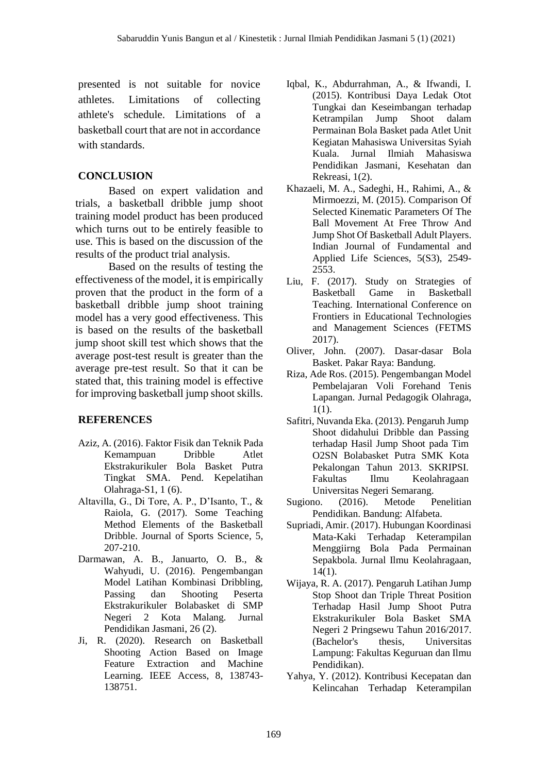presented is not suitable for novice athletes. Limitations of collecting athlete's schedule. Limitations of a basketball court that are not in accordance with standards.

# **CONCLUSION**

Based on expert validation and trials, a basketball dribble jump shoot training model product has been produced which turns out to be entirely feasible to use. This is based on the discussion of the results of the product trial analysis.

Based on the results of testing the effectiveness of the model, it is empirically proven that the product in the form of a basketball dribble jump shoot training model has a very good effectiveness. This is based on the results of the basketball jump shoot skill test which shows that the average post-test result is greater than the average pre-test result. So that it can be stated that, this training model is effective for improving basketball jump shoot skills.

# **REFERENCES**

- Aziz, A. (2016). Faktor Fisik dan Teknik Pada Kemampuan Dribble Atlet Ekstrakurikuler Bola Basket Putra Tingkat SMA. Pend. Kepelatihan Olahraga-S1, 1 (6).
- Altavilla, G., Di Tore, A. P., D'Isanto, T., & Raiola, G. (2017). Some Teaching Method Elements of the Basketball Dribble. Journal of Sports Science, 5, 207-210.
- Darmawan, A. B., Januarto, O. B., & Wahyudi, U. (2016). Pengembangan Model Latihan Kombinasi Dribbling, Passing dan Shooting Peserta Ekstrakurikuler Bolabasket di SMP Negeri 2 Kota Malang. Jurnal Pendidikan Jasmani, 26 (2).
- Ji, R. (2020). Research on Basketball Shooting Action Based on Image Feature Extraction and Machine Learning. IEEE Access, 8, 138743- 138751.
- Iqbal, K., Abdurrahman, A., & Ifwandi, I. (2015). Kontribusi Daya Ledak Otot Tungkai dan Keseimbangan terhadap Ketrampilan Jump Shoot dalam Permainan Bola Basket pada Atlet Unit Kegiatan Mahasiswa Universitas Syiah Kuala. Jurnal Ilmiah Mahasiswa Pendidikan Jasmani, Kesehatan dan Rekreasi, 1(2).
- Khazaeli, M. A., Sadeghi, H., Rahimi, A., & Mirmoezzi, M. (2015). Comparison Of Selected Kinematic Parameters Of The Ball Movement At Free Throw And Jump Shot Of Basketball Adult Players. Indian Journal of Fundamental and Applied Life Sciences, 5(S3), 2549- 2553.
- Liu, F. (2017). Study on Strategies of Basketball Game in Basketball Teaching. International Conference on Frontiers in Educational Technologies and Management Sciences (FETMS 2017).
- Oliver, John. (2007). Dasar-dasar Bola Basket. Pakar Raya: Bandung.
- Riza, Ade Ros. (2015). Pengembangan Model Pembelajaran Voli Forehand Tenis Lapangan. Jurnal Pedagogik Olahraga, 1(1).
- Safitri, Nuvanda Eka. (2013). Pengaruh Jump Shoot didahului Dribble dan Passing terhadap Hasil Jump Shoot pada Tim O2SN Bolabasket Putra SMK Kota Pekalongan Tahun 2013. SKRIPSI. Fakultas Ilmu Keolahragaan Universitas Negeri Semarang.
- Sugiono. (2016). Metode Penelitian Pendidikan. Bandung: Alfabeta.
- Supriadi, Amir. (2017). Hubungan Koordinasi Mata-Kaki Terhadap Keterampilan Menggiirng Bola Pada Permainan Sepakbola. Jurnal Ilmu Keolahragaan, 14(1).
- Wijaya, R. A. (2017). Pengaruh Latihan Jump Stop Shoot dan Triple Threat Position Terhadap Hasil Jump Shoot Putra Ekstrakurikuler Bola Basket SMA Negeri 2 Pringsewu Tahun 2016/2017. (Bachelor's thesis, Universitas Lampung: Fakultas Keguruan dan Ilmu Pendidikan).
- Yahya, Y. (2012). Kontribusi Kecepatan dan Kelincahan Terhadap Keterampilan